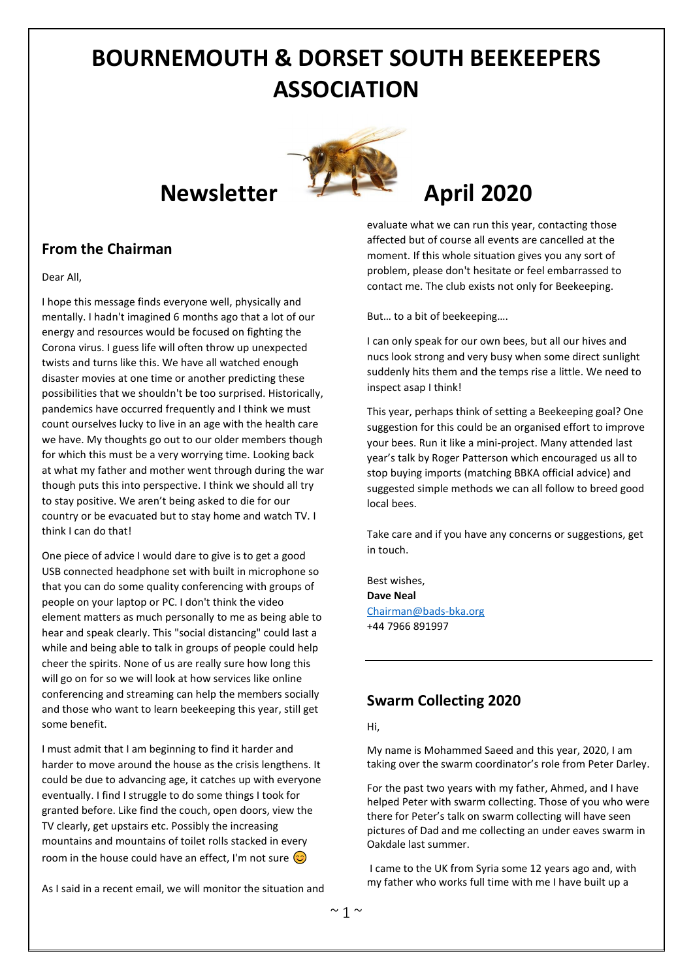# **BOURNEMOUTH & DORSET SOUTH BEEKEEPERS ASSOCIATION**

# **Newsletter April** 2020



#### Dear All,

I hope this message finds everyone well, physically and mentally. I hadn't imagined 6 months ago that a lot of our energy and resources would be focused on fighting the Corona virus. I guess life will often throw up unexpected twists and turns like this. We have all watched enough disaster movies at one time or another predicting these possibilities that we shouldn't be too surprised. Historically, pandemics have occurred frequently and I think we must count ourselves lucky to live in an age with the health care we have. My thoughts go out to our older members though for which this must be a very worrying time. Looking back at what my father and mother went through during the war though puts this into perspective. I think we should all try to stay positive. We aren't being asked to die for our country or be evacuated but to stay home and watch TV. I think I can do that!

One piece of advice I would dare to give is to get a good USB connected headphone set with built in microphone so that you can do some quality conferencing with groups of people on your laptop or PC. I don't think the video element matters as much personally to me as being able to hear and speak clearly. This "social distancing" could last a while and being able to talk in groups of people could help cheer the spirits. None of us are really sure how long this will go on for so we will look at how services like online conferencing and streaming can help the members socially and those who want to learn beekeeping this year, still get some benefit.

I must admit that I am beginning to find it harder and harder to move around the house as the crisis lengthens. It could be due to advancing age, it catches up with everyone eventually. I find I struggle to do some things I took for granted before. Like find the couch, open doors, view the TV clearly, get upstairs etc. Possibly the increasing mountains and mountains of toilet rolls stacked in every room in the house could have an effect, I'm not sure  $\odot$ 

As I said in a recent email, we will monitor the situation and

evaluate what we can run this year, contacting those affected but of course all events are cancelled at the moment. If this whole situation gives you any sort of problem, please don't hesitate or feel embarrassed to contact me. The club exists not only for Beekeeping.

But… to a bit of beekeeping….

I can only speak for our own bees, but all our hives and nucs look strong and very busy when some direct sunlight suddenly hits them and the temps rise a little. We need to inspect asap I think!

This year, perhaps think of setting a Beekeeping goal? One suggestion for this could be an organised effort to improve your bees. Run it like a mini-project. Many attended last year's talk by Roger Patterson which encouraged us all to stop buying imports (matching BBKA official advice) and suggested simple methods we can all follow to breed good local bees.

Take care and if you have any concerns or suggestions, get in touch.

Best wishes, **Dave Neal** [Chairman@bads-bka.org](mailto:Chairman@bads-bka.org) +44 7966 891997

### **Swarm Collecting 2020**

Hi,

My name is Mohammed Saeed and this year, 2020, I am taking over the swarm coordinator's role from Peter Darley.

For the past two years with my father, Ahmed, and I have helped Peter with swarm collecting. Those of you who were there for Peter's talk on swarm collecting will have seen pictures of Dad and me collecting an under eaves swarm in Oakdale last summer.

I came to the UK from Syria some 12 years ago and, with my father who works full time with me I have built up a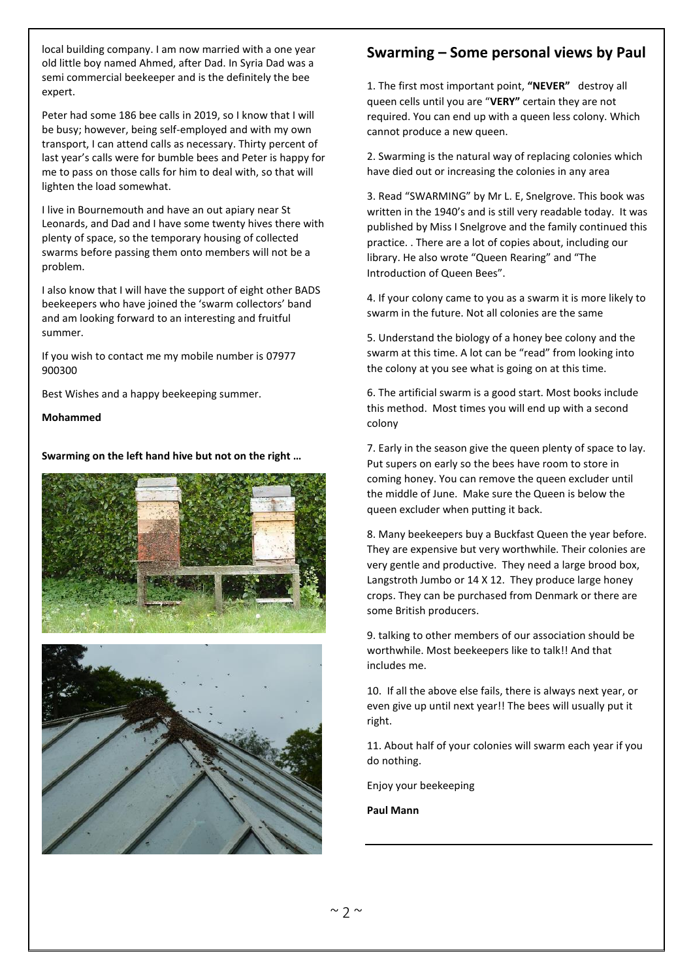local building company. I am now married with a one year old little boy named Ahmed, after Dad. In Syria Dad was a semi commercial beekeeper and is the definitely the bee expert.

Peter had some 186 bee calls in 2019, so I know that I will be busy; however, being self-employed and with my own transport, I can attend calls as necessary. Thirty percent of last year's calls were for bumble bees and Peter is happy for me to pass on those calls for him to deal with, so that will lighten the load somewhat.

I live in Bournemouth and have an out apiary near St Leonards, and Dad and I have some twenty hives there with plenty of space, so the temporary housing of collected swarms before passing them onto members will not be a problem.

I also know that I will have the support of eight other BADS beekeepers who have joined the 'swarm collectors' band and am looking forward to an interesting and fruitful summer.

If you wish to contact me my mobile number is 07977 900300

Best Wishes and a happy beekeeping summer.

**Mohammed**

**Swarming on the left hand hive but not on the right …**





### **Swarming – Some personal views by Paul**

1. The first most important point, **"NEVER"** destroy all queen cells until you are "**VERY"** certain they are not required. You can end up with a queen less colony. Which cannot produce a new queen.

2. Swarming is the natural way of replacing colonies which have died out or increasing the colonies in any area

3. Read "SWARMING" by Mr L. E, Snelgrove. This book was written in the 1940's and is still very readable today. It was published by Miss I Snelgrove and the family continued this practice. . There are a lot of copies about, including our library. He also wrote "Queen Rearing" and "The Introduction of Queen Bees".

4. If your colony came to you as a swarm it is more likely to swarm in the future. Not all colonies are the same

5. Understand the biology of a honey bee colony and the swarm at this time. A lot can be "read" from looking into the colony at you see what is going on at this time.

6. The artificial swarm is a good start. Most books include this method. Most times you will end up with a second colony

7. Early in the season give the queen plenty of space to lay. Put supers on early so the bees have room to store in coming honey. You can remove the queen excluder until the middle of June. Make sure the Queen is below the queen excluder when putting it back.

8. Many beekeepers buy a Buckfast Queen the year before. They are expensive but very worthwhile. Their colonies are very gentle and productive. They need a large brood box, Langstroth Jumbo or 14 X 12. They produce large honey crops. They can be purchased from Denmark or there are some British producers.

9. talking to other members of our association should be worthwhile. Most beekeepers like to talk!! And that includes me.

10. If all the above else fails, there is always next year, or even give up until next year!! The bees will usually put it right.

11. About half of your colonies will swarm each year if you do nothing.

Enjoy your beekeeping

**Paul Mann**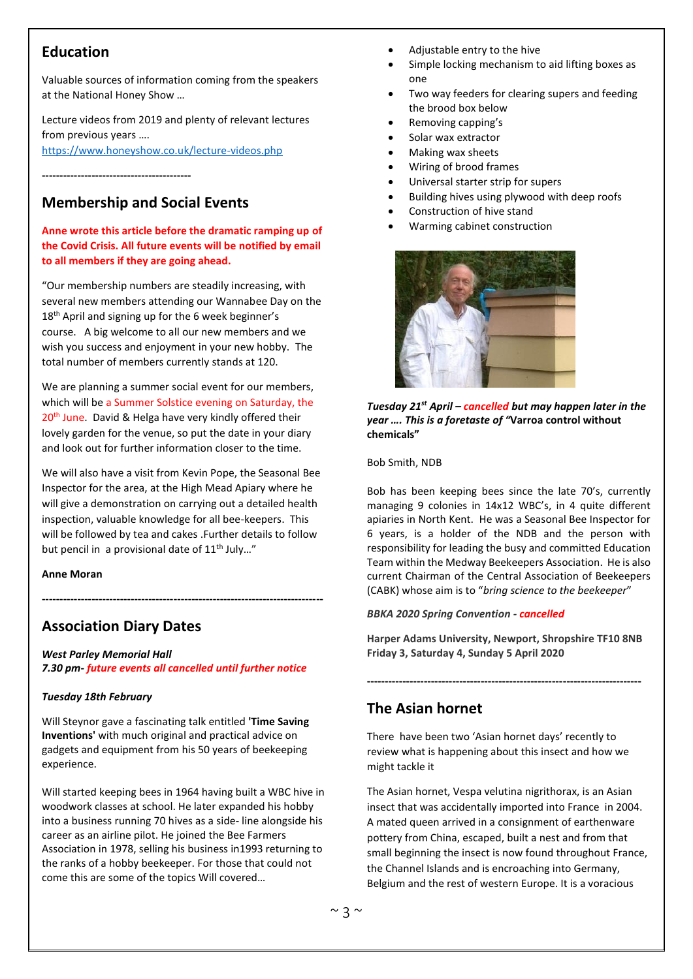### **Education**

Valuable sources of information coming from the speakers at the National Honey Show …

Lecture videos from 2019 and plenty of relevant lectures from previous years …. <https://www.honeyshow.co.uk/lecture-videos.php>

**------------------------------------------**

### **Membership and Social Events**

#### **Anne wrote this article before the dramatic ramping up of the Covid Crisis. All future events will be notified by email to all members if they are going ahead.**

"Our membership numbers are steadily increasing, with several new members attending our Wannabee Day on the 18<sup>th</sup> April and signing up for the 6 week beginner's course. A big welcome to all our new members and we wish you success and enjoyment in your new hobby. The total number of members currently stands at 120.

We are planning a summer social event for our members, which will be a Summer Solstice evening on Saturday, the 20<sup>th</sup> June. David & Helga have very kindly offered their lovely garden for the venue, so put the date in your diary and look out for further information closer to the time.

We will also have a visit from Kevin Pope, the Seasonal Bee Inspector for the area, at the High Mead Apiary where he will give a demonstration on carrying out a detailed health inspection, valuable knowledge for all bee-keepers. This will be followed by tea and cakes .Further details to follow but pencil in a provisional date of 11<sup>th</sup> July..."

**-------------------------------------------------------------------------------**

**Anne Moran**

### **Association Diary Dates**

*West Parley Memorial Hall 7.30 pm- future events all cancelled until further notice*

#### *Tuesday 18th February*

Will Steynor gave a fascinating talk entitled **'Time Saving Inventions'** with much original and practical advice on gadgets and equipment from his 50 years of beekeeping experience.

Will started keeping bees in 1964 having built a WBC hive in woodwork classes at school. He later expanded his hobby into a business running 70 hives as a side- line alongside his career as an airline pilot. He joined the Bee Farmers Association in 1978, selling his business in1993 returning to the ranks of a hobby beekeeper. For those that could not come this are some of the topics Will covered…

- Adjustable entry to the hive
- Simple locking mechanism to aid lifting boxes as one
- Two way feeders for clearing supers and feeding the brood box below
- Removing capping's
- Solar wax extractor
- Making wax sheets
- Wiring of brood frames
- Universal starter strip for supers
- Building hives using plywood with deep roofs
- Construction of hive stand
- Warming cabinet construction



*Tuesday 21st April – cancelled but may happen later in the year …. This is a foretaste of "***Varroa control without chemicals"**

#### Bob Smith, NDB

Bob has been keeping bees since the late 70's, currently managing 9 colonies in 14x12 WBC's, in 4 quite different apiaries in North Kent. He was a Seasonal Bee Inspector for 6 years, is a holder of the NDB and the person with responsibility for leading the busy and committed Education Team within the Medway Beekeepers Association. He is also current Chairman of the Central Association of Beekeepers (CABK) whose aim is to "*bring science to the beekeeper*"

#### *BBKA 2020 Spring Convention - cancelled*

**-----------------------------------------------------------------------------**

**Harper Adams University, Newport, Shropshire TF10 8NB Friday 3, Saturday 4, Sunday 5 April 2020**

### **The Asian hornet**

There have been two 'Asian hornet days' recently to review what is happening about this insect and how we might tackle it

The Asian hornet, Vespa velutina nigrithorax, is an Asian insect that was accidentally imported into France in 2004. A mated queen arrived in a consignment of earthenware pottery from China, escaped, built a nest and from that small beginning the insect is now found throughout France, the Channel Islands and is encroaching into Germany, Belgium and the rest of western Europe. It is a voracious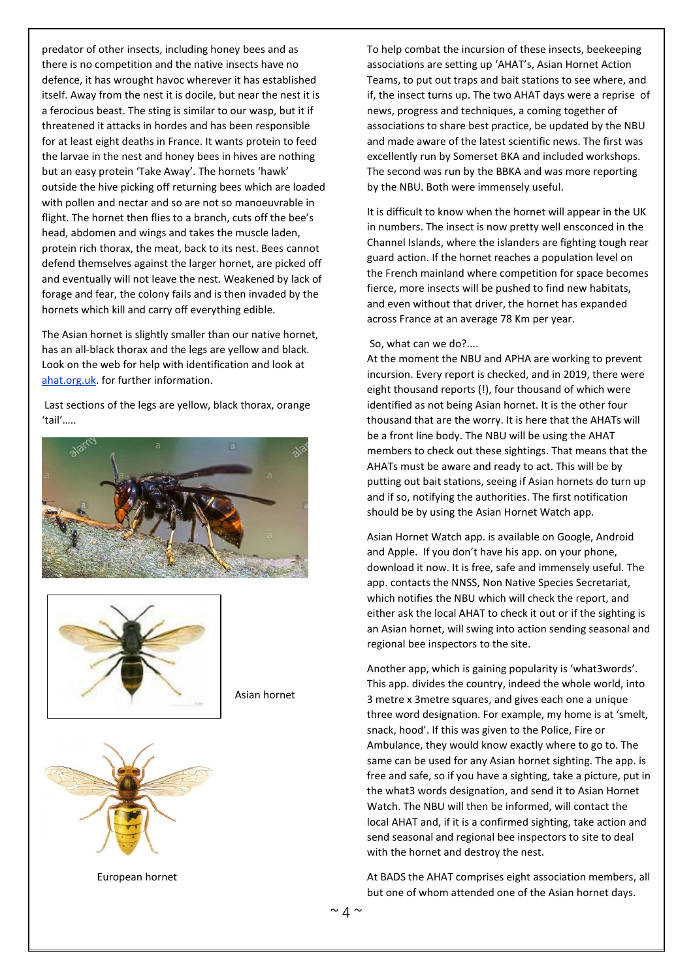predator of other insects, including honey bees and as there is no competition and the native insects have no defence, it has wrought havoc wherever it has established itself. Away from the nest it is docile, but near the nest it is a ferocious beast. The sting is similar to our wasp, but it if threatened it attacks in hordes and has been responsible for at least eight deaths in France. It wants protein to feed the larvae in the nest and honey bees in hives are nothing but an easy protein 'Take Away'. The hornets 'hawk' outside the hive picking off returning bees which are loaded with pollen and nectar and so are not so manoeuvrable in flight. The hornet then flies to a branch, cuts off the bee's head, abdomen and wings and takes the muscle laden, protein rich thorax, the meat, back to its nest. Bees cannot defend themselves against the larger hornet, are picked off and eventually will not leave the nest. Weakened by lack of forage and fear, the colony fails and is then invaded by the hornets which kill and carry off everything edible.

The Asian hornet is slightly smaller than our native hornet, has an all-black thorax and the legs are yellow and black. Look on the web for help with identification and look at ahat.org.uk. for further information.

Last sections of the legs are yellow, black thorax, orange 'tail'…..





Asian hornet



European hornet

To help combat the incursion of these insects, beekeeping associations are setting up 'AHAT's, Asian Hornet Action Teams, to put out traps and bait stations to see where, and if, the insect turns up. The two AHAT days were a reprise of news, progress and techniques, a coming together of associations to share best practice, be updated by the NBU and made aware of the latest scientific news. The first was excellently run by Somerset BKA and included workshops. The second was run by the BBKA and was more reporting by the NBU. Both were immensely useful.

It is difficult to know when the hornet will appear in the UK in numbers. The insect is now pretty well ensconced in the Channel Islands, where the islanders are fighting tough rear guard action. If the hornet reaches a population level on the French mainland where competition for space becomes fierce, more insects will be pushed to find new habitats, and even without that driver, the hornet has expanded across France at an average 78 Km per year.

#### So, what can we do?....

At the moment the NBU and APHA are working to prevent incursion. Every report is checked, and in 2019, there were eight thousand reports (!), four thousand of which were identified as not being Asian hornet. It is the other four thousand that are the worry. It is here that the AHATs will be a front line body. The NBU will be using the AHAT members to check out these sightings. That means that the AHATs must be aware and ready to act. This will be by putting out bait stations, seeing if Asian hornets do turn up and if so, notifying the authorities. The first notification should be by using the Asian Hornet Watch app.

Asian Hornet Watch app. is available on Google, Android and Apple. If you don't have his app. on your phone, download it now. It is free, safe and immensely useful. The app. contacts the NNSS, Non Native Species Secretariat, which notifies the NBU which will check the report, and either ask the local AHAT to check it out or if the sighting is an Asian hornet, will swing into action sending seasonal and regional bee inspectors to the site.

Another app, which is gaining popularity is 'what3words'. This app. divides the country, indeed the whole world, into 3 metre x 3metre squares, and gives each one a unique three word designation. For example, my home is at 'smelt, snack, hood'. If this was given to the Police, Fire or Ambulance, they would know exactly where to go to. The same can be used for any Asian hornet sighting. The app. is free and safe, so if you have a sighting, take a picture, put in the what3 words designation, and send it to Asian Hornet Watch. The NBU will then be informed, will contact the local AHAT and, if it is a confirmed sighting, take action and send seasonal and regional bee inspectors to site to deal with the hornet and destroy the nest.

At BADS the AHAT comprises eight association members, all but one of whom attended one of the Asian hornet days.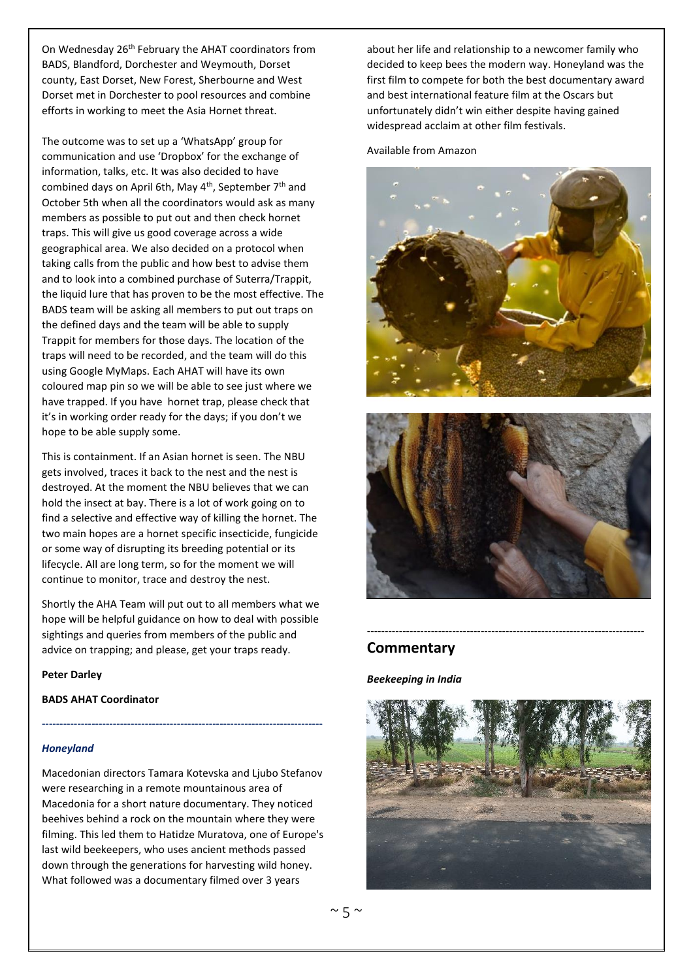On Wednesday 26<sup>th</sup> February the AHAT coordinators from BADS, Blandford, Dorchester and Weymouth, Dorset county, East Dorset, New Forest, Sherbourne and West Dorset met in Dorchester to pool resources and combine efforts in working to meet the Asia Hornet threat.

The outcome was to set up a 'WhatsApp' group for communication and use 'Dropbox' for the exchange of information, talks, etc. It was also decided to have combined days on April 6th, May 4<sup>th</sup>, September 7<sup>th</sup> and October 5th when all the coordinators would ask as many members as possible to put out and then check hornet traps. This will give us good coverage across a wide geographical area. We also decided on a protocol when taking calls from the public and how best to advise them and to look into a combined purchase of Suterra/Trappit, the liquid lure that has proven to be the most effective. The BADS team will be asking all members to put out traps on the defined days and the team will be able to supply Trappit for members for those days. The location of the traps will need to be recorded, and the team will do this using Google MyMaps. Each AHAT will have its own coloured map pin so we will be able to see just where we have trapped. If you have hornet trap, please check that it's in working order ready for the days; if you don't we hope to be able supply some.

This is containment. If an Asian hornet is seen. The NBU gets involved, traces it back to the nest and the nest is destroyed. At the moment the NBU believes that we can hold the insect at bay. There is a lot of work going on to find a selective and effective way of killing the hornet. The two main hopes are a hornet specific insecticide, fungicide or some way of disrupting its breeding potential or its lifecycle. All are long term, so for the moment we will continue to monitor, trace and destroy the nest.

Shortly the AHA Team will put out to all members what we hope will be helpful guidance on how to deal with possible sightings and queries from members of the public and advice on trapping; and please, get your traps ready.

**-------------------------------------------------------------------------------**

**Peter Darley**

**BADS AHAT Coordinator**

#### *Honeyland*

Macedonian directors Tamara Kotevska and Ljubo Stefanov were researching in a remote mountainous area of Macedonia for a short nature documentary. They noticed beehives behind a rock on the mountain where they were filming. This led them to Hatidze Muratova, one of Europe's last wild beekeepers, who uses ancient methods passed down through the generations for harvesting wild honey. What followed was a documentary filmed over 3 years

about her life and relationship to a newcomer family who decided to keep bees the modern way. Honeyland was the first film to compete for both the best documentary award and [best international feature film at the Oscars but](https://www.bbc.co.uk/news/entertainment-arts-51136829)  unfortunately didn't win either despite having gained widespread acclaim at other film festivals.

Available from Amazon





------------------------------------------------------------------------------

#### **Commentary**

#### *Beekeeping in India*

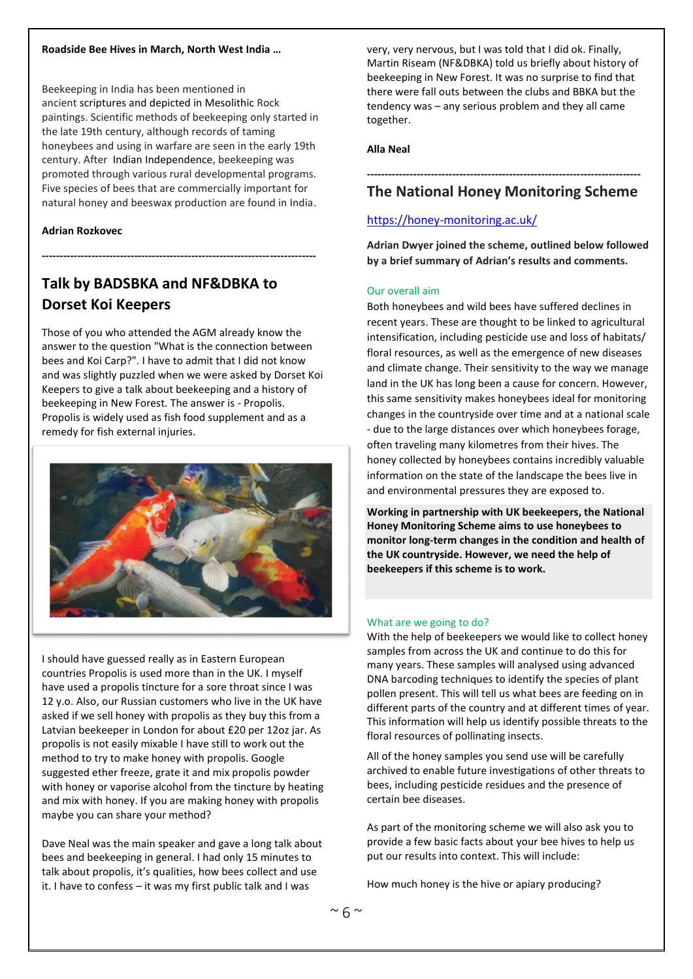#### **Roadside Bee Hives in March, North West India …**

Beekeeping in India has been mentioned in ancient scriptures and depicted in Mesolithic Rock paintings. Scientific methods of beekeeping only started in the late 19th century, although records of taming honeybees and using in warfare are seen in the early 19th century. After Indian Independence, beekeeping was promoted through various rural developmental programs. Five species of bees that are commercially important for natural honey and beeswax production are found in India.

**-----------------------------------------------------------------------------**

#### **Adrian Rozkovec**

## **Talk by BADSBKA and NF&DBKA to Dorset Koi Keepers**

Those of you who attended the AGM already know the answer to the question "What is the connection between bees and Koi Carp?". I have to admit that I did not know and was slightly puzzled when we were asked by Dorset Koi Keepers to give a talk about beekeeping and a history of beekeeping in New Forest. The answer is - Propolis. Propolis is widely used as fish food supplement and as a remedy for fish external injuries.



I should have guessed really as in Eastern European countries Propolis is used more than in the UK. I myself have used a propolis tincture for a sore throat since I was 12 y.o. Also, our Russian customers who live in the UK have asked if we sell honey with propolis as they buy this from a Latvian beekeeper in London for about £20 per 12oz jar. As propolis is not easily mixable I have still to work out the method to try to make honey with propolis. Google suggested ether freeze, grate it and mix propolis powder with honey or vaporise alcohol from the tincture by heating and mix with honey. If you are making honey with propolis maybe you can share your method?

Dave Neal was the main speaker and gave a long talk about bees and beekeeping in general. I had only 15 minutes to talk about propolis, it's qualities, how bees collect and use it. I have to confess – it was my first public talk and I was

very, very nervous, but I was told that I did ok. Finally, Martin Riseam (NF&DBKA) told us briefly about history of beekeeping in New Forest. It was no surprise to find that there were fall outs between the clubs and BBKA but the tendency was – any serious problem and they all came together.

#### **Alla Neal**

### **----------------------------------------------------------------------------- The National Honey Monitoring Scheme**

#### <https://honey-monitoring.ac.uk/>

**Adrian Dwyer joined the scheme, outlined below followed by a brief summary of Adrian's results and comments.** 

#### Our overall aim

Both honeybees and wild bees have suffered declines in recent years. These are thought to be linked to agricultural intensification, including pesticide use and loss of habitats/ floral resources, as well as the emergence of new diseases and climate change. Their sensitivity to the way we manage land in the UK has long been a cause for concern. However, this same sensitivity makes honeybees ideal for monitoring changes in the countryside over time and at a national scale - due to the large distances over which honeybees forage, often traveling many kilometres from their hives. The honey collected by honeybees contains incredibly valuable information on the state of the landscape the bees live in and environmental pressures they are exposed to.

**Working in partnership with UK beekeepers, the National Honey Monitoring Scheme aims to use honeybees to monitor long-term changes in the condition and health of the UK countryside. However, we need the help of beekeepers if this scheme is to work.**

#### What are we going to do?

With the help of beekeepers we would like to collect honey samples from across the UK and continue to do this for many years. These samples will analysed using advanced DNA barcoding techniques to identify the species of plant pollen present. This will tell us what bees are feeding on in different parts of the country and at different times of year. This information will help us identify possible threats to the floral resources of pollinating insects.

All of the honey samples you send use will be carefully archived to enable future investigations of other threats to bees, including pesticide residues and the presence of certain bee diseases.

As part of the monitoring scheme we will also ask you to provide a few basic facts about your bee hives to help us put our results into context. This will include:

How much honey is the hive or apiary producing?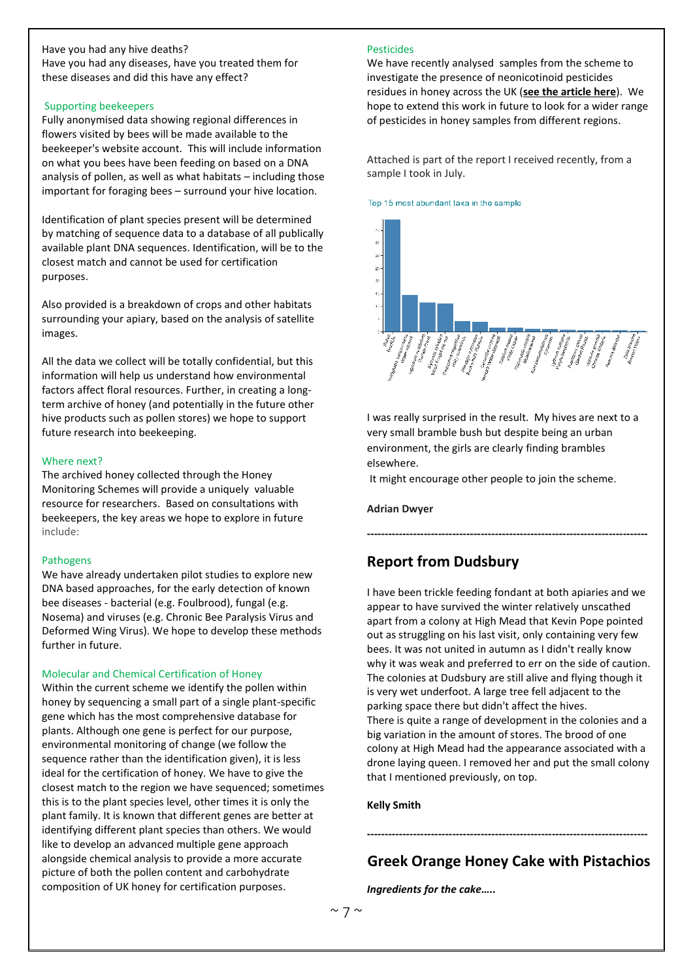#### Have you had any hive deaths? Have you had any diseases, have you treated them for

these diseases and did this have any effect?

#### Supporting beekeepers

Fully anonymised data showing regional differences in flowers visited by bees will be made available to the beekeeper's website account. This will include information on what you bees have been feeding on based on a DNA analysis of pollen, as well as what habitats – including those important for foraging bees – surround your hive location.

Identification of plant species present will be determined by matching of sequence data to a database of all publically available plant DNA sequences. Identification, will be to the closest match and cannot be used for certification purposes.

Also provided is a breakdown of crops and other habitats surrounding your apiary, based on the analysis of satellite images.

All the data we collect will be totally confidential, but this information will help us understand how environmental factors affect floral resources. Further, in creating a longterm archive of honey (and potentially in the future other hive products such as pollen stores) we hope to support future research into beekeeping.

#### Where next?

The archived honey collected through the Honey Monitoring Schemes will provide a uniquely valuable resource for researchers. Based on consultations with beekeepers, the key areas we hope to explore in future include:

#### Pathogens

We have already undertaken pilot studies to explore new DNA based approaches, for the early detection of known bee diseases - bacterial (e.g. Foulbrood), fungal (e.g. Nosema) and viruses (e.g. Chronic Bee Paralysis Virus and Deformed Wing Virus). We hope to develop these methods further in future.

#### Molecular and Chemical Certification of Honey

Within the current scheme we identify the pollen within honey by sequencing a small part of a single plant-specific gene which has the most comprehensive database for plants. Although one gene is perfect for our purpose, environmental monitoring of change (we follow the sequence rather than the identification given), it is less ideal for the certification of honey. We have to give the closest match to the region we have sequenced; sometimes this is to the plant species level, other times it is only the plant family. It is known that different genes are better at identifying different plant species than others. We would like to develop an advanced multiple gene approach alongside chemical analysis to provide a more accurate picture of both the pollen content and carbohydrate composition of UK honey for certification purposes.

#### **Pesticides**

We have recently analysed samples from the scheme to investigate the presence of neonicotinoid pesticides residues in honey across the UK (**see [the article here](https://honey-monitoring.ac.uk/journals.plos.org/plosone/article?id=10.1371/journal.pone.0189681;%20www.sciencejournalforkids.org/science-articles/how-do-pesticides-get-into-honey)**). We hope to extend this work in future to look for a wider range of pesticides in honey samples from different regions.

Attached is part of the report I received recently, from a sample I took in July.

#### Top 15 most abundant taxa in the sample



I was really surprised in the result. My hives are next to a very small bramble bush but despite being an urban environment, the girls are clearly finding brambles elsewhere.

**-------------------------------------------------------------------------------**

It might encourage other people to join the scheme.

#### **Adrian Dwyer**

### **Report from Dudsbury**

I have been trickle feeding fondant at both apiaries and we appear to have survived the winter relatively unscathed apart from a colony at High Mead that Kevin Pope pointed out as struggling on his last visit, only containing very few bees. It was not united in autumn as I didn't really know why it was weak and preferred to err on the side of caution. The colonies at Dudsbury are still alive and flying though it is very wet underfoot. A large tree fell adjacent to the parking space there but didn't affect the hives. There is quite a range of development in the colonies and a big variation in the amount of stores. The brood of one colony at High Mead had the appearance associated with a drone laying queen. I removed her and put the small colony that I mentioned previously, on top.

#### **Kelly Smith**

**-------------------------------------------------------------------------------**

**Greek Orange Honey Cake with Pistachios** *Ingredients for the cake…..*